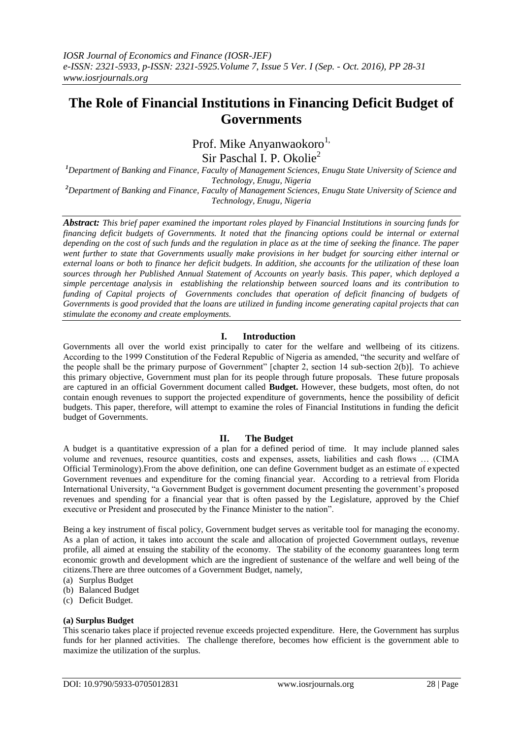# **The Role of Financial Institutions in Financing Deficit Budget of Governments**

Prof. Mike Anyanwaokoro<sup>1,</sup>

Sir Paschal I. P. Okolie<sup>2</sup>

*<sup>1</sup>Department of Banking and Finance, Faculty of Management Sciences, Enugu State University of Science and Technology, Enugu, Nigeria*

*<sup>2</sup>Department of Banking and Finance, Faculty of Management Sciences, Enugu State University of Science and Technology, Enugu, Nigeria*

*Abstract: This brief paper examined the important roles played by Financial Institutions in sourcing funds for financing deficit budgets of Governments. It noted that the financing options could be internal or external depending on the cost of such funds and the regulation in place as at the time of seeking the finance. The paper went further to state that Governments usually make provisions in her budget for sourcing either internal or external loans or both to finance her deficit budgets. In addition, she accounts for the utilization of these loan sources through her Published Annual Statement of Accounts on yearly basis. This paper, which deployed a simple percentage analysis in establishing the relationship between sourced loans and its contribution to funding of Capital projects of Governments concludes that operation of deficit financing of budgets of Governments is good provided that the loans are utilized in funding income generating capital projects that can stimulate the economy and create employments.*

# **I. Introduction**

Governments all over the world exist principally to cater for the welfare and wellbeing of its citizens. According to the 1999 Constitution of the Federal Republic of Nigeria as amended, "the security and welfare of the people shall be the primary purpose of Government" [chapter 2, section 14 sub-section 2(b)]. To achieve this primary objective, Government must plan for its people through future proposals. These future proposals are captured in an official Government document called **Budget.** However, these budgets, most often, do not contain enough revenues to support the projected expenditure of governments, hence the possibility of deficit budgets. This paper, therefore, will attempt to examine the roles of Financial Institutions in funding the deficit budget of Governments.

# **II. The Budget**

A budget is a quantitative expression of a plan for a defined period of time. It may include planned sales volume and revenues, resource quantities, costs and expenses, assets, liabilities and cash flows … (CIMA Official Terminology).From the above definition, one can define Government budget as an estimate of expected Government revenues and expenditure for the coming financial year. According to a retrieval from Florida International University, "a Government Budget is government document presenting the government's proposed revenues and spending for a financial year that is often passed by the Legislature, approved by the Chief executive or President and prosecuted by the Finance Minister to the nation".

Being a key instrument of fiscal policy, Government budget serves as veritable tool for managing the economy. As a plan of action, it takes into account the scale and allocation of projected Government outlays, revenue profile, all aimed at ensuing the stability of the economy. The stability of the economy guarantees long term economic growth and development which are the ingredient of sustenance of the welfare and well being of the citizens.There are three outcomes of a Government Budget, namely,

- (a) Surplus Budget
- (b) Balanced Budget
- (c) Deficit Budget.

# **(a) Surplus Budget**

This scenario takes place if projected revenue exceeds projected expenditure. Here, the Government has surplus funds for her planned activities. The challenge therefore, becomes how efficient is the government able to maximize the utilization of the surplus.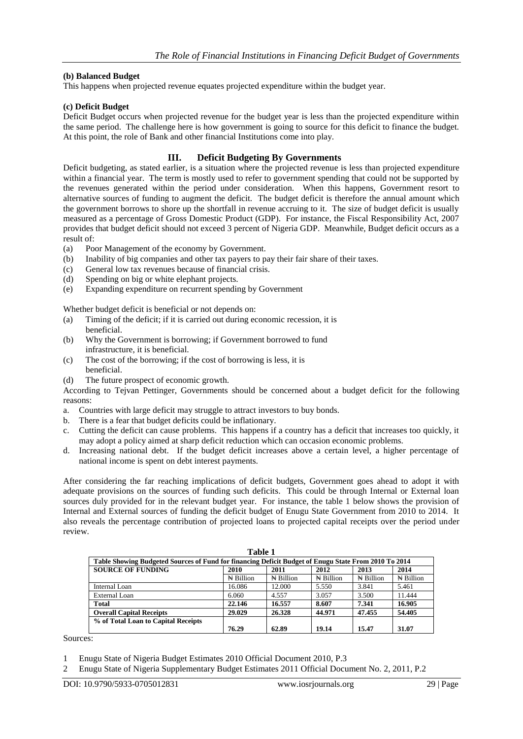### **(b) Balanced Budget**

This happens when projected revenue equates projected expenditure within the budget year.

#### **(c) Deficit Budget**

Deficit Budget occurs when projected revenue for the budget year is less than the projected expenditure within the same period. The challenge here is how government is going to source for this deficit to finance the budget. At this point, the role of Bank and other financial Institutions come into play.

# **III. Deficit Budgeting By Governments**

Deficit budgeting, as stated earlier, is a situation where the projected revenue is less than projected expenditure within a financial year. The term is mostly used to refer to government spending that could not be supported by the revenues generated within the period under consideration. When this happens, Government resort to alternative sources of funding to augment the deficit. The budget deficit is therefore the annual amount which the government borrows to shore up the shortfall in revenue accruing to it. The size of budget deficit is usually measured as a percentage of Gross Domestic Product (GDP). For instance, the Fiscal Responsibility Act, 2007 provides that budget deficit should not exceed 3 percent of Nigeria GDP. Meanwhile, Budget deficit occurs as a result of:

- (a) Poor Management of the economy by Government.
- (b) Inability of big companies and other tax payers to pay their fair share of their taxes.
- (c) General low tax revenues because of financial crisis.
- (d) Spending on big or white elephant projects.
- (e) Expanding expenditure on recurrent spending by Government

Whether budget deficit is beneficial or not depends on:

- (a) Timing of the deficit; if it is carried out during economic recession, it is beneficial.
- (b) Why the Government is borrowing; if Government borrowed to fund infrastructure, it is beneficial.
- (c) The cost of the borrowing; if the cost of borrowing is less, it is beneficial.
- (d) The future prospect of economic growth.

According to Tejvan Pettinger, Governments should be concerned about a budget deficit for the following reasons:

- a. Countries with large deficit may struggle to attract investors to buy bonds.
- b. There is a fear that budget deficits could be inflationary.
- c. Cutting the deficit can cause problems. This happens if a country has a deficit that increases too quickly, it may adopt a policy aimed at sharp deficit reduction which can occasion economic problems.
- d. Increasing national debt. If the budget deficit increases above a certain level, a higher percentage of national income is spent on debt interest payments.

After considering the far reaching implications of deficit budgets, Government goes ahead to adopt it with adequate provisions on the sources of funding such deficits. This could be through Internal or External loan sources duly provided for in the relevant budget year. For instance, the table 1 below shows the provision of Internal and External sources of funding the deficit budget of Enugu State Government from 2010 to 2014. It also reveals the percentage contribution of projected loans to projected capital receipts over the period under review.

| Table 1                                                                                              |                     |                    |                      |                      |                      |  |  |  |  |
|------------------------------------------------------------------------------------------------------|---------------------|--------------------|----------------------|----------------------|----------------------|--|--|--|--|
| Table Showing Budgeted Sources of Fund for financing Deficit Budget of Enugu State From 2010 To 2014 |                     |                    |                      |                      |                      |  |  |  |  |
| <b>SOURCE OF FUNDING</b>                                                                             | 2010                | 2011               | 2012                 | 2013                 | 2014                 |  |  |  |  |
|                                                                                                      | $\mathbb N$ Billion | $\bigstar$ Billion | $\mathbb{N}$ Billion | $\mathbb{N}$ Billion | $\mathbb{N}$ Billion |  |  |  |  |
| Internal Loan                                                                                        | 16.086              | 12.000             | 5.550                | 3.841                | 5.461                |  |  |  |  |
| External Loan                                                                                        | 6.060               | 4.557              | 3.057                | 3.500                | 11.444               |  |  |  |  |
| <b>Total</b>                                                                                         | 22.146              | 16.557             | 8.607                | 7.341                | 16.905               |  |  |  |  |
| <b>Overall Capital Receipts</b>                                                                      | 29.029              | 26.328             | 44.971               | 47.455               | 54.405               |  |  |  |  |
| % of Total Loan to Capital Receipts                                                                  | 76.29               | 62.89              | 19.14                | 15.47                | 31.07                |  |  |  |  |

Sources:

<sup>1</sup> Enugu State of Nigeria Budget Estimates 2010 Official Document 2010, P.3

<sup>2</sup> Enugu State of Nigeria Supplementary Budget Estimates 2011 Official Document No. 2, 2011, P.2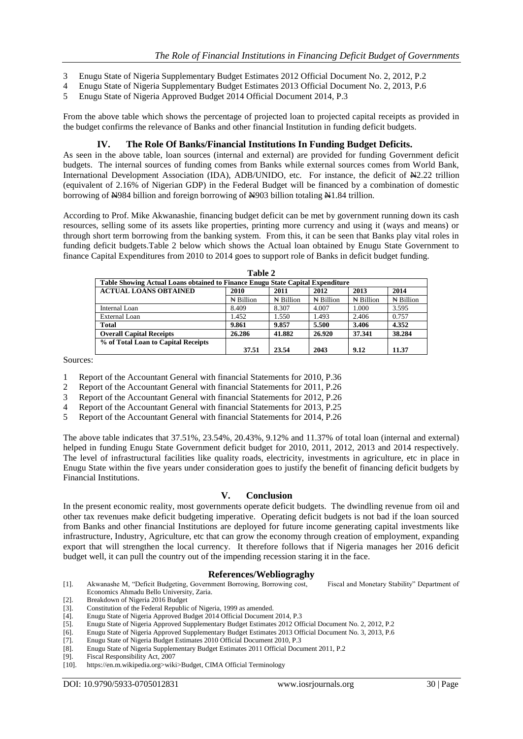- 3 Enugu State of Nigeria Supplementary Budget Estimates 2012 Official Document No. 2, 2012, P.2
- 4 Enugu State of Nigeria Supplementary Budget Estimates 2013 Official Document No. 2, 2013, P.6
- 5 Enugu State of Nigeria Approved Budget 2014 Official Document 2014, P.3

From the above table which shows the percentage of projected loan to projected capital receipts as provided in the budget confirms the relevance of Banks and other financial Institution in funding deficit budgets.

# **IV. The Role Of Banks/Financial Institutions In Funding Budget Deficits.**

As seen in the above table, loan sources (internal and external) are provided for funding Government deficit budgets. The internal sources of funding comes from Banks while external sources comes from World Bank, International Development Association (IDA), ADB/UNIDO, etc. For instance, the deficit of  $\mathbb{H}2.22$  trillion (equivalent of 2.16% of Nigerian GDP) in the Federal Budget will be financed by a combination of domestic borrowing of N984 billion and foreign borrowing of N903 billion totaling N1.84 trillion.

According to Prof. Mike Akwanashie, financing budget deficit can be met by government running down its cash resources, selling some of its assets like properties, printing more currency and using it (ways and means) or through short term borrowing from the banking system. From this, it can be seen that Banks play vital roles in funding deficit budgets.Table 2 below which shows the Actual loan obtained by Enugu State Government to finance Capital Expenditures from 2010 to 2014 goes to support role of Banks in deficit budget funding.

| $1$ aine $\angle$                                                              |                      |                      |                      |                     |                     |  |  |  |  |
|--------------------------------------------------------------------------------|----------------------|----------------------|----------------------|---------------------|---------------------|--|--|--|--|
| Table Showing Actual Loans obtained to Finance Enugu State Capital Expenditure |                      |                      |                      |                     |                     |  |  |  |  |
| <b>ACTUAL LOANS OBTAINED</b>                                                   | 2010                 | 2011                 | 2012                 | 2013                | 2014                |  |  |  |  |
|                                                                                | $\mathbb{N}$ Billion | $\mathbb{N}$ Billion | $\mathbb{N}$ Billion | $\mathbb N$ Billion | $\mathbb N$ Billion |  |  |  |  |
| Internal Loan                                                                  | 8.409                | 8.307                | 4.007                | 1.000               | 3.595               |  |  |  |  |
| External Loan                                                                  | 1.452                | 1.550                | 1.493                | 2.406               | 0.757               |  |  |  |  |
| <b>Total</b>                                                                   | 9.861                | 9.857                | 5.500                | 3.406               | 4.352               |  |  |  |  |
| <b>Overall Capital Receipts</b>                                                | 26.286               | 41.882               | 26.920               | 37.341              | 38.284              |  |  |  |  |
| % of Total Loan to Capital Receipts                                            | 37.51                | 23.54                | 2043                 | 9.12                | 11.37               |  |  |  |  |
|                                                                                |                      |                      |                      |                     |                     |  |  |  |  |

**Table 2**

Sources:

- 1 Report of the Accountant General with financial Statements for 2010, P.36
- 2 Report of the Accountant General with financial Statements for 2011, P.26
- 3 Report of the Accountant General with financial Statements for 2012, P.26
- 4 Report of the Accountant General with financial Statements for 2013, P.25
- 5 Report of the Accountant General with financial Statements for 2014, P.26

The above table indicates that 37.51%, 23.54%, 20.43%, 9.12% and 11.37% of total loan (internal and external) helped in funding Enugu State Government deficit budget for 2010, 2011, 2012, 2013 and 2014 respectively. The level of infrastructural facilities like quality roads, electricity, investments in agriculture, etc in place in Enugu State within the five years under consideration goes to justify the benefit of financing deficit budgets by Financial Institutions.

# **V. Conclusion**

In the present economic reality, most governments operate deficit budgets. The dwindling revenue from oil and other tax revenues make deficit budgeting imperative. Operating deficit budgets is not bad if the loan sourced from Banks and other financial Institutions are deployed for future income generating capital investments like infrastructure, Industry, Agriculture, etc that can grow the economy through creation of employment, expanding export that will strengthen the local currency. It therefore follows that if Nigeria manages her 2016 deficit budget well, it can pull the country out of the impending recession staring it in the face.

#### **References/Webliograghy**

- [1]. Akwanashe M, "Deficit Budgeting, Government Borrowing, Borrowing cost, Fiscal and Monetary Stability" Department of Economics Ahmadu Bello University, Zaria.
- [2]. Breakdown of Nigeria 2016 Budget
- 
- [3]. Constitution of the Federal Republic of Nigeria, 1999 as amended.<br>
[4]. Enugu State of Nigeria Approved Budget 2014 Official Document<br>
[5]. Enugu State of Nigeria Approved Supplementary Budget Estimate Enugu State of Nigeria Approved Budget 2014 Official Document 2014, P.3
- Enugu State of Nigeria Approved Supplementary Budget Estimates 2012 Official Document No. 2, 2012, P.2
- [6]. Enugu State of Nigeria Approved Supplementary Budget Estimates 2013 Official Document No. 3, 2013, P.6
- [7]. Enugu State of Nigeria Budget Estimates 2010 Official Document 2010, P.3
- Enugu State of Nigeria Supplementary Budget Estimates 2011 Official Document 2011, P.2
- [9]. Fiscal Responsibility Act, 2007
- [10]. https://en.m.wikipedia.org>wiki>Budget, CIMA Official Terminology